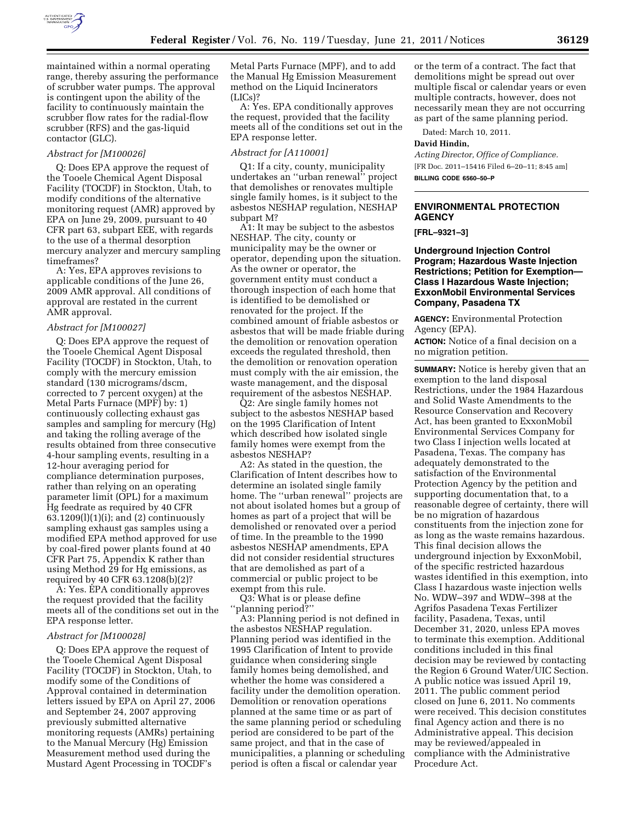

maintained within a normal operating range, thereby assuring the performance of scrubber water pumps. The approval is contingent upon the ability of the facility to continuously maintain the scrubber flow rates for the radial-flow scrubber (RFS) and the gas-liquid contactor (GLC).

### *Abstract for [M100026]*

Q: Does EPA approve the request of the Tooele Chemical Agent Disposal Facility (TOCDF) in Stockton, Utah, to modify conditions of the alternative monitoring request (AMR) approved by EPA on June 29, 2009, pursuant to 40 CFR part 63, subpart EEE, with regards to the use of a thermal desorption mercury analyzer and mercury sampling timeframes?

A: Yes, EPA approves revisions to applicable conditions of the June 26, 2009 AMR approval. All conditions of approval are restated in the current AMR approval.

#### *Abstract for [M100027]*

Q: Does EPA approve the request of the Tooele Chemical Agent Disposal Facility (TOCDF) in Stockton, Utah, to comply with the mercury emission standard (130 micrograms/dscm, corrected to 7 percent oxygen) at the Metal Parts Furnace (MPF) by: 1) continuously collecting exhaust gas samples and sampling for mercury (Hg) and taking the rolling average of the results obtained from three consecutive 4-hour sampling events, resulting in a 12-hour averaging period for compliance determination purposes, rather than relying on an operating parameter limit (OPL) for a maximum Hg feedrate as required by 40 CFR  $63.1209(1)(1)(i)$ ; and  $(2)$  continuously sampling exhaust gas samples using a modified EPA method approved for use by coal-fired power plants found at 40 CFR Part 75, Appendix K rather than using Method 29 for Hg emissions, as required by 40 CFR 63.1208(b)(2)?

A: Yes. EPA conditionally approves the request provided that the facility meets all of the conditions set out in the EPA response letter.

#### *Abstract for [M100028]*

Q: Does EPA approve the request of the Tooele Chemical Agent Disposal Facility (TOCDF) in Stockton, Utah, to modify some of the Conditions of Approval contained in determination letters issued by EPA on April 27, 2006 and September 24, 2007 approving previously submitted alternative monitoring requests (AMRs) pertaining to the Manual Mercury (Hg) Emission Measurement method used during the Mustard Agent Processing in TOCDF's

Metal Parts Furnace (MPF), and to add the Manual Hg Emission Measurement method on the Liquid Incinerators (LICs)?

A: Yes. EPA conditionally approves the request, provided that the facility meets all of the conditions set out in the EPA response letter.

#### *Abstract for [A110001]*

Q1: If a city, county, municipality undertakes an ''urban renewal'' project that demolishes or renovates multiple single family homes, is it subject to the asbestos NESHAP regulation, NESHAP subpart M?

A1: It may be subject to the asbestos NESHAP. The city, county or municipality may be the owner or operator, depending upon the situation. As the owner or operator, the government entity must conduct a thorough inspection of each home that is identified to be demolished or renovated for the project. If the combined amount of friable asbestos or asbestos that will be made friable during the demolition or renovation operation exceeds the regulated threshold, then the demolition or renovation operation must comply with the air emission, the waste management, and the disposal requirement of the asbestos NESHAP.

Q2: Are single family homes not subject to the asbestos NESHAP based on the 1995 Clarification of Intent which described how isolated single family homes were exempt from the asbestos NESHAP?

A2: As stated in the question, the Clarification of Intent describes how to determine an isolated single family home. The ''urban renewal'' projects are not about isolated homes but a group of homes as part of a project that will be demolished or renovated over a period of time. In the preamble to the 1990 asbestos NESHAP amendments, EPA did not consider residential structures that are demolished as part of a commercial or public project to be exempt from this rule.

Q3: What is or please define ''planning period?''

A3: Planning period is not defined in the asbestos NESHAP regulation. Planning period was identified in the 1995 Clarification of Intent to provide guidance when considering single family homes being demolished, and whether the home was considered a facility under the demolition operation. Demolition or renovation operations planned at the same time or as part of the same planning period or scheduling period are considered to be part of the same project, and that in the case of municipalities, a planning or scheduling period is often a fiscal or calendar year

or the term of a contract. The fact that demolitions might be spread out over multiple fiscal or calendar years or even multiple contracts, however, does not necessarily mean they are not occurring as part of the same planning period.

Dated: March 10, 2011.

### **David Hindin,**

*Acting Director, Office of Compliance.*  [FR Doc. 2011–15416 Filed 6–20–11; 8:45 am] **BILLING CODE 6560–50–P** 

### **ENVIRONMENTAL PROTECTION AGENCY**

### **[FRL–9321–3]**

**Underground Injection Control Program; Hazardous Waste Injection Restrictions; Petition for Exemption— Class I Hazardous Waste Injection; ExxonMobil Environmental Services Company, Pasadena TX** 

**AGENCY:** Environmental Protection Agency (EPA).

**ACTION:** Notice of a final decision on a no migration petition.

**SUMMARY:** Notice is hereby given that an exemption to the land disposal Restrictions, under the 1984 Hazardous and Solid Waste Amendments to the Resource Conservation and Recovery Act, has been granted to ExxonMobil Environmental Services Company for two Class I injection wells located at Pasadena, Texas. The company has adequately demonstrated to the satisfaction of the Environmental Protection Agency by the petition and supporting documentation that, to a reasonable degree of certainty, there will be no migration of hazardous constituents from the injection zone for as long as the waste remains hazardous. This final decision allows the underground injection by ExxonMobil, of the specific restricted hazardous wastes identified in this exemption, into Class I hazardous waste injection wells No. WDW–397 and WDW–398 at the Agrifos Pasadena Texas Fertilizer facility, Pasadena, Texas, until December 31, 2020, unless EPA moves to terminate this exemption. Additional conditions included in this final decision may be reviewed by contacting the Region 6 Ground Water/UIC Section. A public notice was issued April 19, 2011. The public comment period closed on June 6, 2011. No comments were received. This decision constitutes final Agency action and there is no Administrative appeal. This decision may be reviewed/appealed in compliance with the Administrative Procedure Act.